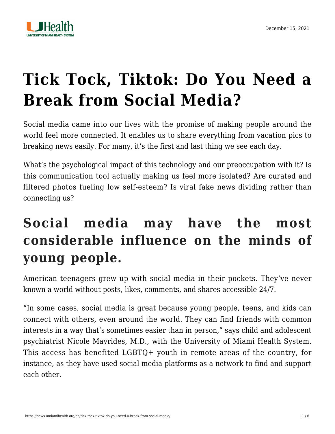

# **[Tick Tock, Tiktok: Do You Need a](https://news.umiamihealth.org/en/tick-tock-tiktok-do-you-need-a-break-from-social-media/) [Break from Social Media?](https://news.umiamihealth.org/en/tick-tock-tiktok-do-you-need-a-break-from-social-media/)**

Social media came into our lives with the promise of making people around the world feel more connected. It enables us to share everything from vacation pics to breaking news easily. For many, it's the first and last thing we see each day.

What's the psychological impact of this technology and our preoccupation with it? Is this communication tool actually making us feel more isolated? Are curated and filtered photos fueling low self-esteem? Is viral fake news dividing rather than connecting us?

## **Social media may have the most considerable influence on the minds of young people.**

American teenagers grew up with social media in their pockets. They've never known a world without posts, likes, comments, and shares accessible 24/7.

"In some cases, social media is great because young people, teens, and kids can connect with others, even around the world. They can find friends with common interests in a way that's sometimes easier than in person," says child and adolescent psychiatrist [Nicole Mavrides, M.D.,](https://doctors.umiamihealth.org/provider/Nicole+Ann+Mavrides/524929?unified=Nicole%20Mavrides&sort=networks%2Crelevance&from=search-list) with the University of Miami Health System. This access has benefited LGBTQ+ youth in remote areas of the country, for instance, as they have used social media platforms as a network to find and support each other.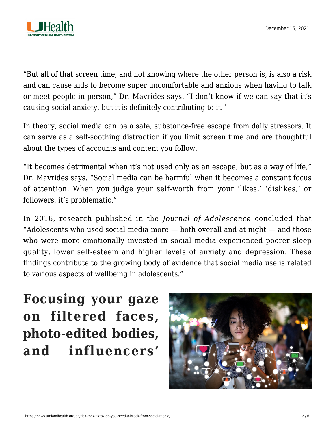

"But all of that screen time, and not knowing where the other person is, is also a risk and can cause kids to become super uncomfortable and anxious when having to talk or meet people in person," Dr. Mavrides says. "I don't know if we can say that it's causing social anxiety, but it is definitely contributing to it."

In theory, social media can be a safe, substance-free escape from daily stressors. It can serve as a self-soothing distraction if you limit screen time and are thoughtful about the types of accounts and content you follow.

"It becomes detrimental when it's not used only as an escape, but as a way of life," Dr. Mavrides says. "Social media can be harmful when it becomes a constant focus of attention. When you judge your self-worth from your 'likes,' 'dislikes,' or followers, it's problematic."

In 2016, [research](https://www.sciencedirect.com/science/article/abs/pii/S0140197116300343) published in the *Journal of Adolescence* concluded that "Adolescents who used social media more  $-$  both overall and at night  $-$  and those who were more emotionally invested in social media experienced poorer sleep quality, lower self-esteem and higher levels of anxiety and depression. These findings contribute to the growing body of evidence that social media use is related to various aspects of wellbeing in adolescents."

**Focusing your gaze on filtered faces, photo-edited bodies, and influencers'**

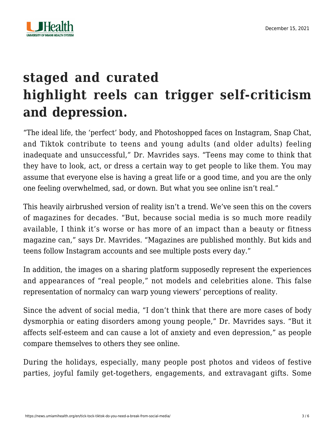

## **staged and curated highlight reels can trigger self-criticism and depression.**

"The ideal life, the 'perfect' body, and Photoshopped faces on Instagram, Snap Chat, and Tiktok contribute to teens and young adults (and older adults) feeling inadequate and unsuccessful," Dr. Mavrides says. "Teens may come to think that they have to look, act, or dress a certain way to get people to like them. You may assume that everyone else is having a great life or a good time, and you are the only one feeling overwhelmed, sad, or down. But what you see online isn't real."

This heavily airbrushed version of reality isn't a trend. We've seen this on the covers of magazines for decades. "But, because social media is so much more readily available, I think it's worse or has more of an impact than a beauty or fitness magazine can," says Dr. Mavrides. "Magazines are published monthly. But kids and teens follow Instagram accounts and see multiple posts every day."

In addition, the images on a sharing platform supposedly represent the experiences and appearances of "real people," not models and celebrities alone. This false representation of normalcy can warp young viewers' perceptions of reality.

Since the advent of social media, "I don't think that there are more cases of body dysmorphia or eating disorders among young people," Dr. Mavrides says. "But it affects self-esteem and can cause a lot of anxiety and even depression," as people compare themselves to others they see online.

During the holidays, especially, many people post photos and videos of festive parties, joyful family get-togethers, engagements, and extravagant gifts. Some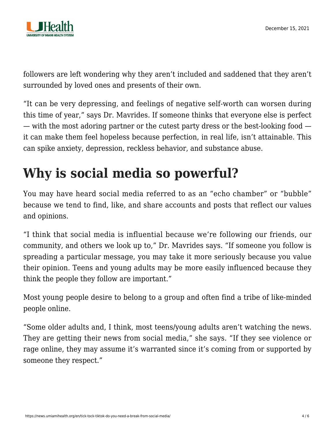followers are left wondering why they aren't included and saddened that they aren't surrounded by loved ones and presents of their own.

"It can be very depressing, and feelings of negative self-worth can worsen during this time of year," says Dr. Mavrides. If someone thinks that everyone else is perfect — with the most adoring partner or the cutest party dress or the best-looking food it can make them feel hopeless because perfection, in real life, isn't attainable. This can spike anxiety, depression, reckless behavior, and substance abuse.

## **Why is social media so powerful?**

You may have heard social media referred to as an "echo chamber" or "bubble" because we tend to find, like, and share accounts and posts that reflect our values and opinions.

"I think that social media is influential because we're following our friends, our community, and others we look up to," Dr. Mavrides says. "If someone you follow is spreading a particular message, you may take it more seriously because you value their opinion. Teens and young adults may be more easily influenced because they think the people they follow are important."

Most young people desire to belong to a group and often find a tribe of like-minded people online.

"Some older adults and, I think, most teens/young adults aren't watching the news. They are getting their news from social media," she says. "If they see violence or rage online, they may assume it's warranted since it's coming from or supported by someone they respect."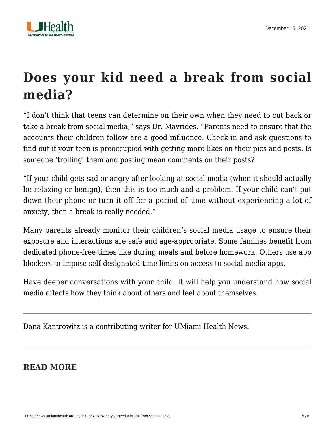

## **Does your kid need a break from social media?**

"I don't think that teens can determine on their own when they need to cut back or take a break from social media," says Dr. Mavrides. "Parents need to ensure that the accounts their children follow are a good influence. Check-in and ask questions to find out if your teen is preoccupied with getting more likes on their pics and posts. Is someone 'trolling' them and posting mean comments on their posts?

"If your child gets sad or angry after looking at social media (when it should actually be relaxing or benign), then this is too much and a problem. If your child can't put down their phone or turn it off for a period of time without experiencing a lot of anxiety, then a break is really needed."

Many parents already monitor their children's social media usage to ensure their exposure and interactions are safe and age-appropriate. Some families benefit from dedicated phone-free times like during meals and before homework. Others use app blockers to impose self-designated time limits on access to social media apps.

Have deeper conversations with your child. It will help you understand how social media affects how they think about others and feel about themselves.

Dana Kantrowitz is a contributing writer for UMiami Health News.

#### **READ MORE**